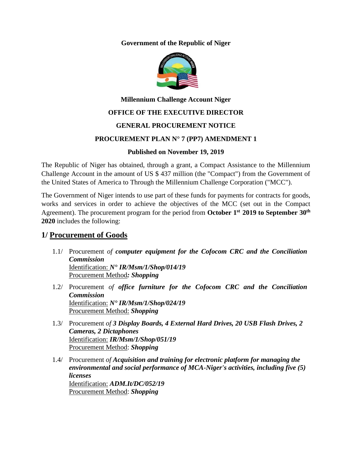#### **Government of the Republic of Niger**



# **Millennium Challenge Account Niger**

## **OFFICE OF THE EXECUTIVE DIRECTOR**

## **GENERAL PROCUREMENT NOTICE**

## **PROCUREMENT PLAN N° 7 (PP7) AMENDMENT 1**

## **Published on November 19, 2019**

The Republic of Niger has obtained, through a grant, a Compact Assistance to the Millennium Challenge Account in the amount of US \$ 437 million (the "Compact") from the Government of the United States of America to Through the Millennium Challenge Corporation ("MCC").

The Government of Niger intends to use part of these funds for payments for contracts for goods, works and services in order to achieve the objectives of the MCC (set out in the Compact Agreement). The procurement program for the period from **October 1 st 2019 to September 30 th 2020** includes the following:

## **1/ Procurement of Goods**

- 1.1/ Procurement *of computer equipment for the Cofocom CRC and the Conciliation Commission* Identification: *N° IR/Msm/1/Shop/014/19* Procurement Method*: Shopping*
- 1.2/ Procurement *of office furniture for the Cofocom CRC and the Conciliation Commission* Identification: *N° IR/Msm/1/Shop/024/19* Procurement Method: *Shopping*
- 1.3/ Procurement *of 3 Display Boards, 4 External Hard Drives, 20 USB Flash Drives, 2 Cameras, 2 Dictaphones* Identification: *IR/Msm/1/Shop/051/19* Procurement Method: *Shopping*
- 1.4/ Procurement *of Acquisition and training for electronic platform for managing the environmental and social performance of MCA-Niger's activities, including five (5) licenses* Identification: *ADM.It/DC/052/19* Procurement Method: *Shopping*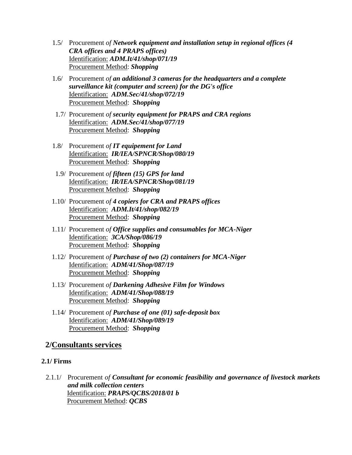- 1.5/ Procurement *of Network equipment and installation setup in regional offices (4 CRA offices and 4 PRAPS offices)* Identification: *ADM.It/41/shop/071/19* Procurement Method: *Shopping*
- 1.6/ Procurement *of an additional 3 cameras for the headquarters and a complete surveillance kit (computer and screen) for the DG's office* Identification: *ADM.Sec/41/shop/072/19* Procurement Method: *Shopping*
- 1.7/ Procurement *of security equipment for PRAPS and CRA regions* Identification: *ADM.Sec/41/shop/077/19* Procurement Method: *Shopping*
- 1.8/ Procurement *of IT equipement for Land*  Identification: *IR/IEA/SPNCR/Shop/080/19* Procurement Method: *Shopping*
- 1.9/ Procurement *of fifteen (15) GPS for land* Identification: *IR/IEA/SPNCR/Shop/081/19* Procurement Method: *Shopping*
- 1.10/ Procurement *of 4 copiers for CRA and PRAPS offices* Identification: *ADM.It/41/shop/082/19* Procurement Method: *Shopping*
- 1.11/ Procurement *of Office supplies and consumables for MCA-Niger* Identification: *3CA/Shop/086/19* Procurement Method: *Shopping*
- 1.12/ Procurement *of Purchase of two (2) containers for MCA-Niger* Identification: *ADM/41/Shop/087/19* Procurement Method: *Shopping*
- 1.13/ Procurement *of Darkening Adhesive Film for Windows* Identification: *ADM/41/Shop/088/19* Procurement Method: *Shopping*
- 1.14/ Procurement *of Purchase of one (01) safe-deposit box* Identification: *ADM/41/Shop/089/19* Procurement Method: *Shopping*

## **2/Consultants services**

## **2.1/ Firms**

2.1.1/ Procurement *of Consultant for economic feasibility and governance of livestock markets and milk collection centers* Identification: *PRAPS/QCBS/2018/01 b* Procurement Method: *QCBS*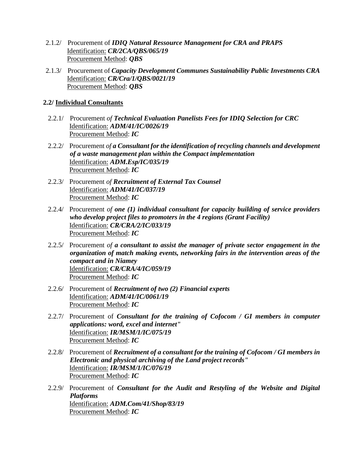- 2.1.2/ Procurement of *IDIQ Natural Ressource Management for CRA and PRAPS* Identification: *CR/2CA/QBS/065/19* Procurement Method: *QBS*
- 2.1.3/ Procurement of *Capacity Development Communes Sustainability Public Investments CRA* Identification: *CR/Cra/1/QBS/0021/19* Procurement Method: *QBS*

#### **2.2/ Individual Consultants**

- 2.2.1/ Procurement *of Technical Evaluation Panelists Fees for IDIQ Selection for CRC* Identification: *ADM/41/IC/0026/19* Procurement Method: *IC*
- 2.2.2/ Procurement *of a Consultant for the identification of recycling channels and development of a waste management plan within the Compact implementation* Identification: *ADM.Esp/IC/035/19* Procurement Method: *IC*
- 2.2.3/ Procurement *of Recruitment of External Tax Counsel* Identification: *ADM/41/IC/037/19* Procurement Method: *IC*
- 2.2.4/ Procurement *of one (1) individual consultant for capacity building of service providers who develop project files to promoters in the 4 regions (Grant Facility)* Identification: *CR/CRA/2/IC/033/19* Procurement Method: *IC*
- 2.2.5/ Procurement *of a consultant to assist the manager of private sector engagement in the organization of match making events, networking fairs in the intervention areas of the compact and in Niamey* Identification: *CR/CRA/4/IC/059/19* Procurement Method: *IC*
- 2.2.6/ Procurement of *Recruitment of two (2) Financial experts* Identification: *ADM/41/IC/0061/19* Procurement Method: *IC*
- 2.2.7/ Procurement of *Consultant for the training of Cofocom / GI members in computer applications: word, excel and internet"* Identification: *IR/MSM/1/IC/075/19* Procurement Method: *IC*
- 2.2.8/ Procurement of *Recruitment of a consultant for the training of Cofocom / GI members in Electronic and physical archiving of the Land project records"* Identification: *IR/MSM/1/IC/076/19* Procurement Method: *IC*
- 2.2.9/ Procurement of *Consultant for the Audit and Restyling of the Website and Digital Platforms* Identification: *ADM.Com/41/Shop/83/19* Procurement Method: *IC*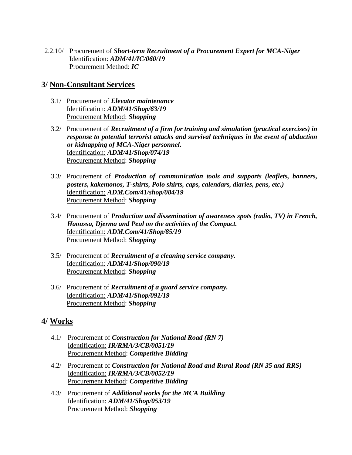2.2.10/ Procurement of *Short-term Recruitment of a Procurement Expert for MCA-Niger* Identification: *ADM/41/IC/060/19* Procurement Method: *IC*

## **3/ Non-Consultant Services**

- 3.1/ Procurement of *Elevator maintenance* Identification: *ADM/41/Shop/63/19* Procurement Method: *Shopping*
- 3.2/ Procurement of *Recruitment of a firm for training and simulation (practical exercises) in response to potential terrorist attacks and survival techniques in the event of abduction or kidnapping of MCA-Niger personnel.* Identification: *ADM/41/Shop/074/19* Procurement Method: *Shopping*
- 3.3/ Procurement of *Production of communication tools and supports (leaflets, banners, posters, kakemonos, T-shirts, Polo shirts, caps, calendars, diaries, pens, etc.)* Identification: *ADM.Com/41/shop/084/19* Procurement Method: *Shopping*
- 3.4/ Procurement of *Production and dissemination of awareness spots (radio, TV) in French, Haoussa, Djerma and Peul on the activities of the Compact.* Identification: *ADM.Com/41/Shop/85/19* Procurement Method: *Shopping*
- 3.5/ Procurement of *Recruitment of a cleaning service company.* Identification: *ADM/41/Shop/090/19* Procurement Method: *Shopping*
- 3.6/ Procurement of *Recruitment of a guard service company.* Identification: *ADM/41/Shop/091/19* Procurement Method: *Shopping*

## **4/ Works**

- 4.1/ Procurement of *Construction for National Road (RN 7)* Identification: *IR/RMA/3/CB/0051/19* Procurement Method: *Competitive Bidding*
- 4.2/ Procurement of *Construction for National Road and Rural Road (RN 35 and RRS)* Identification: *IR/RMA/3/CB/0052/19* Procurement Method: *Competitive Bidding*
- 4.3/ Procurement of *Additional works for the MCA Building* Identification: *ADM/41/Shop/053/19* Procurement Method: *Shopping*